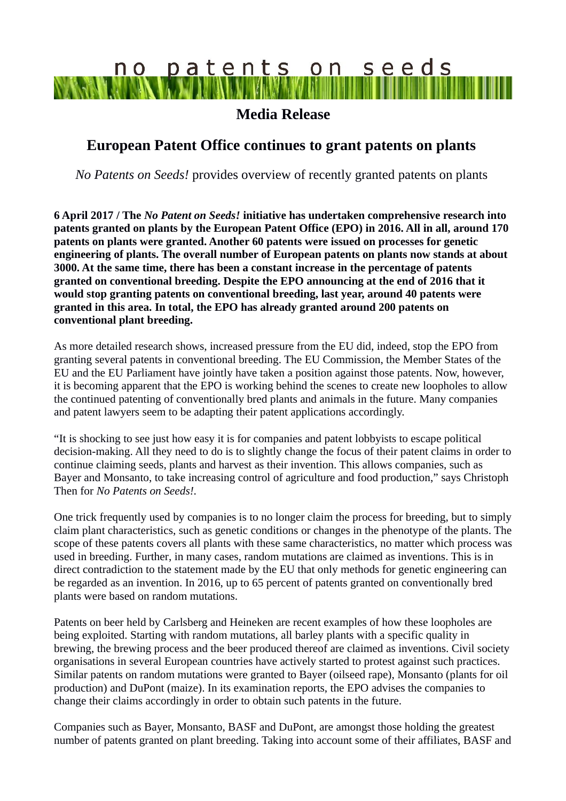# no patents on seeds **MARAN MIND**

### **Media Release**

## **European Patent Office continues to grant patents on plants**

*No Patents on Seeds!* provides overview of recently granted patents on plants

**6 April 2017 / The** *No Patent on Seeds!* **initiative has undertaken comprehensive research into patents granted on plants by the European Patent Office (EPO) in 2016. All in all, around 170 patents on plants were granted. Another 60 patents were issued on processes for genetic engineering of plants. The overall number of European patents on plants now stands at about 3000. At the same time, there has been a constant increase in the percentage of patents granted on conventional breeding. Despite the EPO announcing at the end of 2016 that it would stop granting patents on conventional breeding, last year, around 40 patents were granted in this area. In total, the EPO has already granted around 200 patents on conventional plant breeding.**

As more detailed research shows, increased pressure from the EU did, indeed, stop the EPO from granting several patents in conventional breeding. The EU Commission, the Member States of the EU and the EU Parliament have jointly have taken a position against those patents. Now, however, it is becoming apparent that the EPO is working behind the scenes to create new loopholes to allow the continued patenting of conventionally bred plants and animals in the future. Many companies and patent lawyers seem to be adapting their patent applications accordingly.

"It is shocking to see just how easy it is for companies and patent lobbyists to escape political decision-making. All they need to do is to slightly change the focus of their patent claims in order to continue claiming seeds, plants and harvest as their invention. This allows companies, such as Bayer and Monsanto, to take increasing control of agriculture and food production," says Christoph Then for *No Patents on Seeds!.*

One trick frequently used by companies is to no longer claim the process for breeding, but to simply claim plant characteristics, such as genetic conditions or changes in the phenotype of the plants. The scope of these patents covers all plants with these same characteristics, no matter which process was used in breeding. Further, in many cases, random mutations are claimed as inventions. This is in direct contradiction to the statement made by the EU that only methods for genetic engineering can be regarded as an invention. In 2016, up to 65 percent of patents granted on conventionally bred plants were based on random mutations.

Patents on beer held by Carlsberg and Heineken are recent examples of how these loopholes are being exploited. Starting with random mutations, all barley plants with a specific quality in brewing, the brewing process and the beer produced thereof are claimed as inventions. Civil society organisations in several European countries have actively started to protest against such practices. Similar patents on random mutations were granted to Bayer (oilseed rape), Monsanto (plants for oil production) and DuPont (maize). In its examination reports, the EPO advises the companies to change their claims accordingly in order to obtain such patents in the future.

Companies such as Bayer, Monsanto, BASF and DuPont, are amongst those holding the greatest number of patents granted on plant breeding. Taking into account some of their affiliates, BASF and